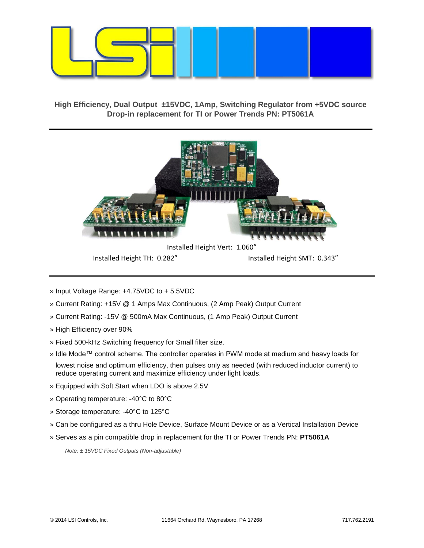

**High Efficiency, Dual Output ±15VDC, 1Amp, Switching Regulator from +5VDC source Drop-in replacement for TI or Power Trends PN: PT5061A**



Installed Height TH: 0.282" Installed Height SMT: 0.343"

- » Input Voltage Range: +4.75VDC to + 5.5VDC
- » Current Rating: +15V @ 1 Amps Max Continuous, (2 Amp Peak) Output Current
- » Current Rating: -15V @ 500mA Max Continuous, (1 Amp Peak) Output Current
- » High Efficiency over 90%
- » Fixed 500-kHz Switching frequency for Small filter size.
- » Idle Mode™ control scheme. The controller operates in PWM mode at medium and heavy loads for
- lowest noise and optimum efficiency, then pulses only as needed (with reduced inductor current) to reduce operating current and maximize efficiency under light loads.
- » Equipped with Soft Start when LDO is above 2.5V
- » Operating temperature: -40°C to 80°C
- » Storage temperature: -40°C to 125°C
- » Can be configured as a thru Hole Device, Surface Mount Device or as a Vertical Installation Device
- » Serves as a pin compatible drop in replacement for the TI or Power Trends PN: **PT5061A**

*Note: ± 15VDC Fixed Outputs (Non-adjustable)*